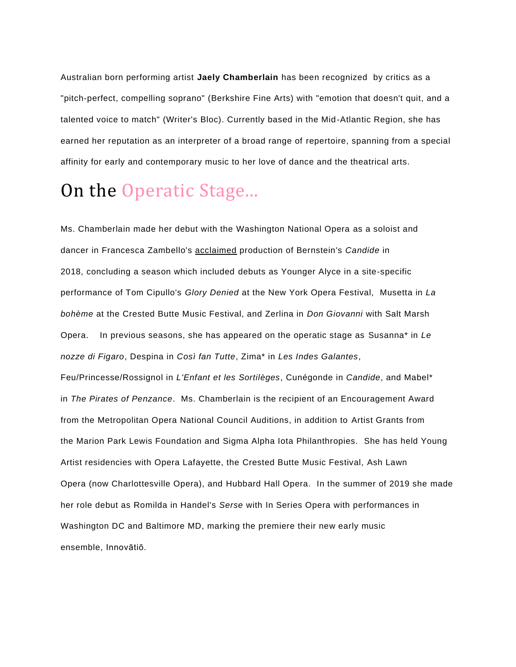Australian born performing artist **Jaely Chamberlain** has been recognized by critics as a "pitch-perfect, compelling soprano" (Berkshire Fine Arts) with "emotion that doesn't quit, and a talented voice to match" (Writer's Bloc). Currently based in the Mid-Atlantic Region, she has earned her reputation as an interpreter of a broad range of repertoire, spanning from a special affinity for early and contemporary music to her love of dance and the theatrical arts.

## On the Operatic Stage...

Ms. Chamberlain made her debut with the Washington National Opera as a soloist and dancer in Francesca Zambello's acclaimed production of Bernstein's *Candide* in 2018, concluding a season which included debuts as Younger Alyce in a site-specific performance of Tom Cipullo's *Glory Denied* at the New York Opera Festival, Musetta in *La bohème* at the Crested Butte Music Festival, and Zerlina in *Don Giovanni* with Salt Marsh Opera. In previous seasons, she has appeared on the operatic stage as Susanna\* in *Le nozze di Figaro*, Despina in *Così fan Tutte*, Zima\* in *Les Indes Galantes*, Feu/Princesse/Rossignol in *L'Enfant et les Sortilèges*, Cunégonde in *Candide*, and Mabel\* in *The Pirates of Penzance*. Ms. Chamberlain is the recipient of an Encouragement Award from the Metropolitan Opera National Council Auditions, in addition to Artist Grants from the Marion Park Lewis Foundation and Sigma Alpha Iota Philanthropies. She has held Young Artist residencies with Opera Lafayette, the Crested Butte Music Festival, Ash Lawn Opera (now Charlottesville Opera), and Hubbard Hall Opera. In the summer of 2019 she made her role debut as Romilda in Handel's *Serse* with In Series Opera with performances in Washington DC and Baltimore MD, marking the premiere their new early music ensemble, Innovātiō.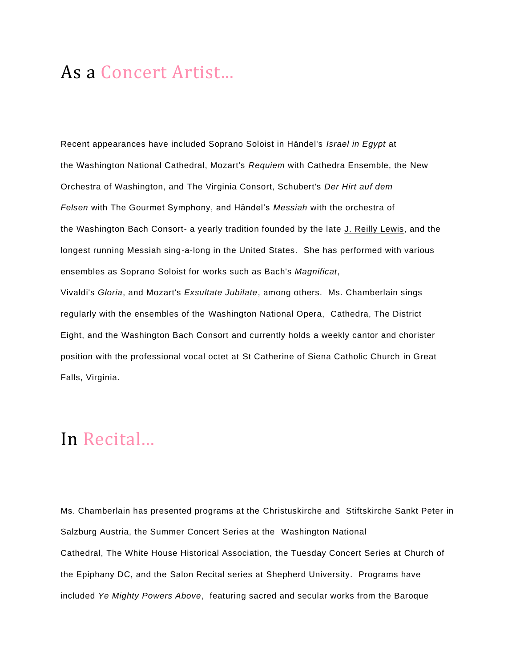## As a Concert Artist...

Recent appearances have included Soprano Soloist in Händel's *Israel in Egypt* at the Washington National Cathedral, Mozart's *Requiem* with Cathedra Ensemble, the New Orchestra of Washington, and The Virginia Consort, Schubert's *Der Hirt auf dem Felsen* with The Gourmet Symphony, and Händel's *Messiah* with the orchestra of the Washington Bach Consort- a yearly tradition founded by the late J. Reilly Lewis, and the longest running Messiah sing-a-long in the United States. She has performed with various ensembles as Soprano Soloist for works such as Bach's *Magnificat*, Vivaldi's *Gloria*, and Mozart's *Exsultate Jubilate*, among others. Ms. Chamberlain sings regularly with the ensembles of the Washington National Opera, Cathedra, The District

Eight, and the Washington Bach Consort and currently holds a weekly cantor and chorister position with the professional vocal octet at St Catherine of Siena Catholic Church in Great Falls, Virginia.

## In Recital...

Ms. Chamberlain has presented programs at the Christuskirche and Stiftskirche Sankt Peter in Salzburg Austria, the Summer Concert Series at the Washington National Cathedral, The White House Historical Association, the Tuesday Concert Series at Church of the Epiphany DC, and the Salon Recital series at Shepherd University. Programs have included *Ye Mighty Powers Above*, featuring sacred and secular works from the Baroque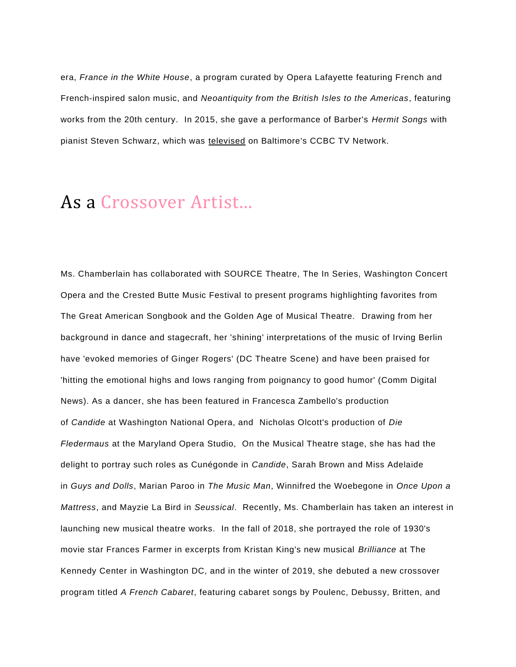era, *France in the White House*, a program curated by Opera Lafayette featuring French and French-inspired salon music, and *Neoantiquity from the British Isles to the Americas*, featuring works from the 20th century. In 2015, she gave a performance of Barber's *Hermit Songs* with pianist Steven Schwarz, which was televised on Baltimore's CCBC TV Network.

## As a Crossover Artist...

Ms. Chamberlain has collaborated with SOURCE Theatre, The In Series, Washington Concert Opera and the Crested Butte Music Festival to present programs highlighting favorites from The Great American Songbook and the Golden Age of Musical Theatre. Drawing from her background in dance and stagecraft, her 'shining' interpretations of the music of Irving Berlin have 'evoked memories of Ginger Rogers' (DC Theatre Scene) and have been praised for 'hitting the emotional highs and lows ranging from poignancy to good humor' (Comm Digital News). As a dancer, she has been featured in Francesca Zambello's production of *Candide* at Washington National Opera, and Nicholas Olcott's production of *Die Fledermaus* at the Maryland Opera Studio, On the Musical Theatre stage, she has had the delight to portray such roles as Cunégonde in *Candide*, Sarah Brown and Miss Adelaide in *Guys and Dolls*, Marian Paroo in *The Music Man*, Winnifred the Woebegone in *Once Upon a Mattress*, and Mayzie La Bird in *Seussical*. Recently, Ms. Chamberlain has taken an interest in launching new musical theatre works. In the fall of 2018, she portrayed the role of 1930's movie star Frances Farmer in excerpts from Kristan King's new musical *Brilliance* at The Kennedy Center in Washington DC, and in the winter of 2019, she debuted a new crossover program titled *A French Cabaret*, featuring cabaret songs by Poulenc, Debussy, Britten, and